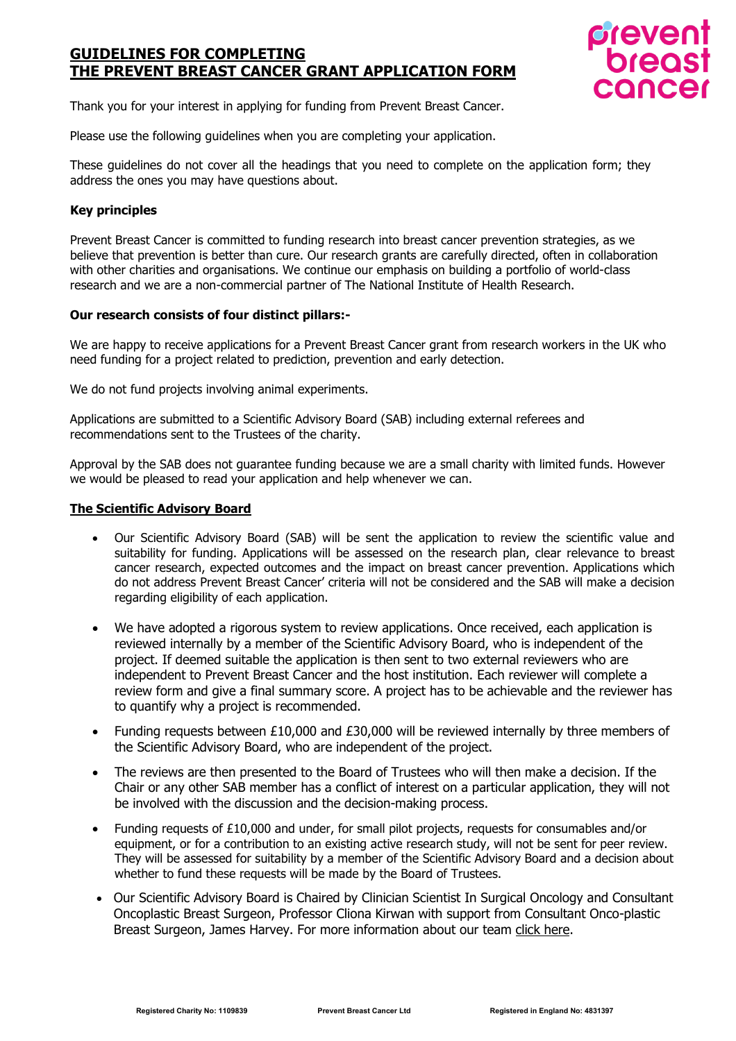

Thank you for your interest in applying for funding from Prevent Breast Cancer.

Please use the following guidelines when you are completing your application.

These guidelines do not cover all the headings that you need to complete on the application form; they address the ones you may have questions about.

# **Key principles**

Prevent Breast Cancer is committed to funding research into breast cancer prevention strategies, as we believe that prevention is better than cure. Our research grants are carefully directed, often in collaboration with other charities and organisations. We continue our emphasis on building a portfolio of world-class research and we are a non-commercial partner of The National Institute of Health Research.

# **Our research consists of four distinct pillars:-**

We are happy to receive applications for a Prevent Breast Cancer grant from research workers in the UK who need funding for a project related to prediction, prevention and early detection.

We do not fund projects involving animal experiments.

Applications are submitted to a Scientific Advisory Board (SAB) including external referees and recommendations sent to the Trustees of the charity.

Approval by the SAB does not guarantee funding because we are a small charity with limited funds. However we would be pleased to read your application and help whenever we can.

# **The Scientific Advisory Board**

- Our Scientific Advisory Board (SAB) will be sent the application to review the scientific value and suitability for funding. Applications will be assessed on the research plan, clear relevance to breast cancer research, expected outcomes and the impact on breast cancer prevention. Applications which do not address Prevent Breast Cancer' criteria will not be considered and the SAB will make a decision regarding eligibility of each application.
- We have adopted a rigorous system to review applications. Once received, each application is reviewed internally by a member of the Scientific Advisory Board, who is independent of the project. If deemed suitable the application is then sent to two external reviewers who are independent to Prevent Breast Cancer and the host institution. Each reviewer will complete a review form and give a final summary score. A project has to be achievable and the reviewer has to quantify why a project is recommended.
- Funding requests between £10,000 and £30,000 will be reviewed internally by three members of the Scientific Advisory Board, who are independent of the project.
- The reviews are then presented to the Board of Trustees who will then make a decision. If the Chair or any other SAB member has a conflict of interest on a particular application, they will not be involved with the discussion and the decision-making process.
- Funding requests of £10,000 and under, for small pilot projects, requests for consumables and/or equipment, or for a contribution to an existing active research study, will not be sent for peer review. They will be assessed for suitability by a member of the Scientific Advisory Board and a decision about whether to fund these requests will be made by the Board of Trustees.
- Our Scientific Advisory Board is Chaired by Clinician Scientist In Surgical Oncology and Consultant Oncoplastic Breast Surgeon, Professor Cliona Kirwan with support from Consultant Onco-plastic Breast Surgeon, James Harvey. For more information about our team click [here.](https://preventbreastcancer.org.uk/about-us/scientific-advisory-board/)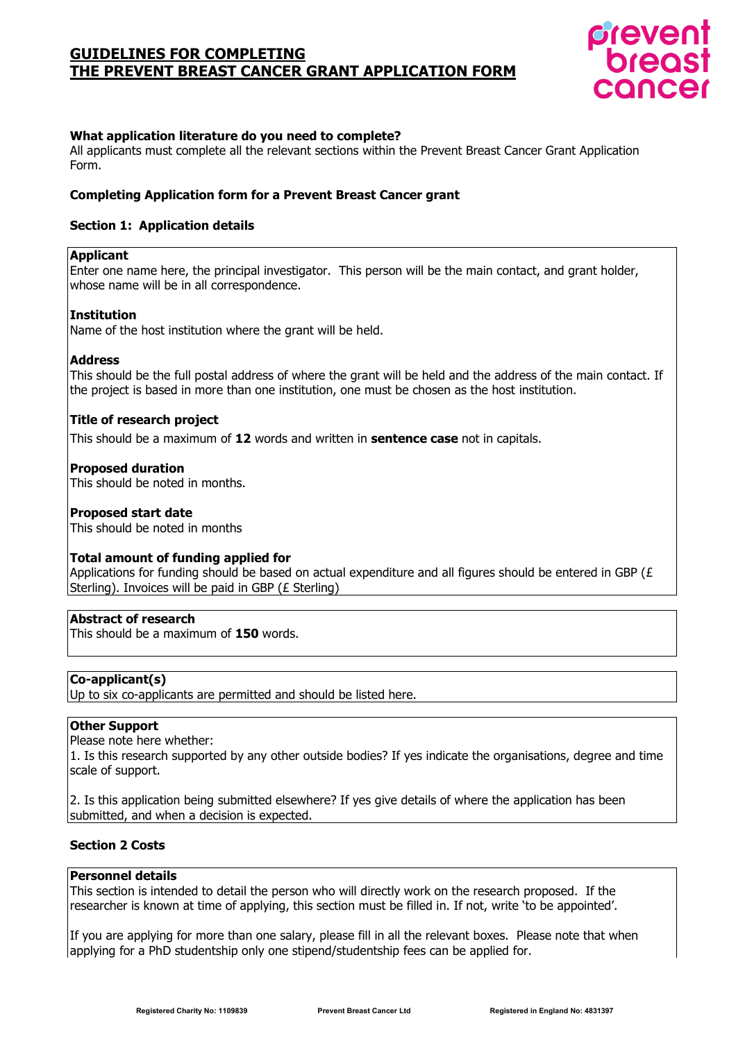

# **What application literature do you need to complete?**

All applicants must complete all the relevant sections within the Prevent Breast Cancer Grant Application Form.

### **Completing Application form for a Prevent Breast Cancer grant**

### **Section 1: Application details**

#### **Applicant**

Enter one name here, the principal investigator. This person will be the main contact, and grant holder, whose name will be in all correspondence.

#### **Institution**

Name of the host institution where the grant will be held.

#### **Address**

This should be the full postal address of where the grant will be held and the address of the main contact. If the project is based in more than one institution, one must be chosen as the host institution.

#### **Title of research project**

This should be a maximum of **12** words and written in **sentence case** not in capitals.

#### **Proposed duration**

This should be noted in months.

#### **Proposed start date**

This should be noted in months

#### **Total amount of funding applied for**

Applications for funding should be based on actual expenditure and all figures should be entered in GBP ( $\epsilon$ Sterling). Invoices will be paid in GBP (£ Sterling)

# **Abstract of research**

This should be a maximum of **150** words.

#### **Co-applicant(s)**

Up to six co-applicants are permitted and should be listed here.

# **Other Support**

Please note here whether:

1. Is this research supported by any other outside bodies? If yes indicate the organisations, degree and time scale of support.

2. Is this application being submitted elsewhere? If yes give details of where the application has been submitted, and when a decision is expected.

# **Section 2 Costs**

# **Personnel details**

This section is intended to detail the person who will directly work on the research proposed. If the researcher is known at time of applying, this section must be filled in. If not, write 'to be appointed'.

If you are applying for more than one salary, please fill in all the relevant boxes. Please note that when applying for a PhD studentship only one stipend/studentship fees can be applied for.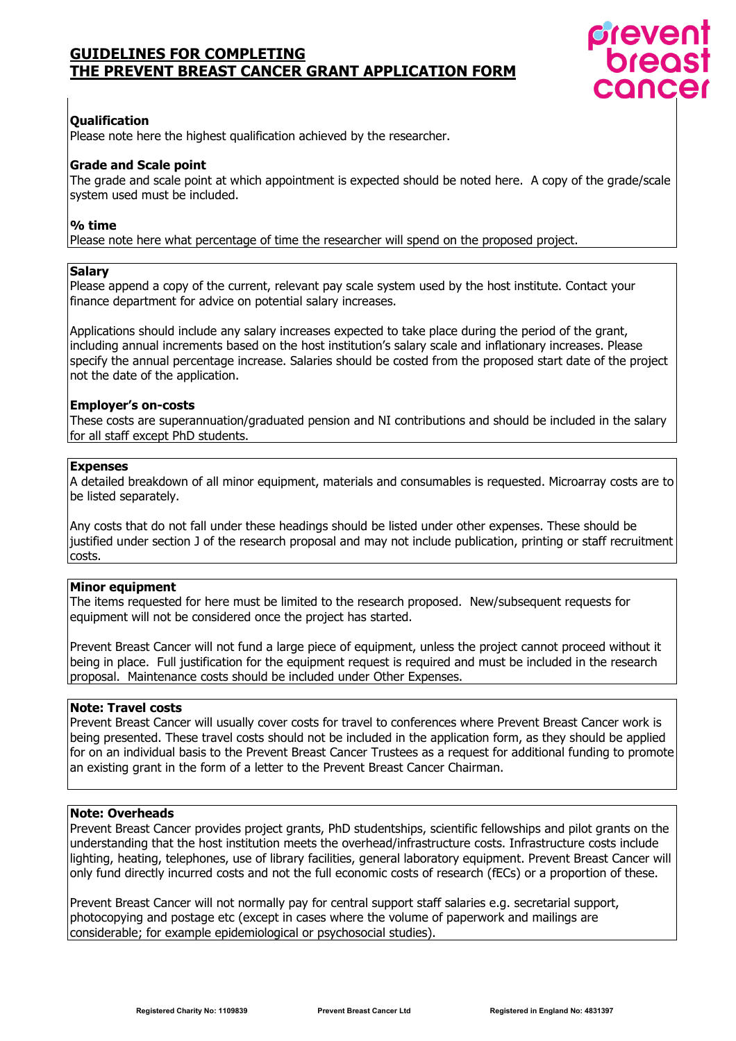

# **Qualification**

Please note here the highest qualification achieved by the researcher.

# **Grade and Scale point**

The grade and scale point at which appointment is expected should be noted here. A copy of the grade/scale system used must be included.

# **% time**

Please note here what percentage of time the researcher will spend on the proposed project.

#### **Salary**

Please append a copy of the current, relevant pay scale system used by the host institute. Contact your finance department for advice on potential salary increases.

Applications should include any salary increases expected to take place during the period of the grant, including annual increments based on the host institution's salary scale and inflationary increases. Please specify the annual percentage increase. Salaries should be costed from the proposed start date of the project not the date of the application.

# **Employer's on-costs**

These costs are superannuation/graduated pension and NI contributions and should be included in the salary for all staff except PhD students.

# **Expenses**

A detailed breakdown of all minor equipment, materials and consumables is requested. Microarray costs are to be listed separately.

Any costs that do not fall under these headings should be listed under other expenses. These should be justified under section J of the research proposal and may not include publication, printing or staff recruitment costs.

### **Minor equipment**

The items requested for here must be limited to the research proposed. New/subsequent requests for equipment will not be considered once the project has started.

Prevent Breast Cancer will not fund a large piece of equipment, unless the project cannot proceed without it being in place. Full justification for the equipment request is required and must be included in the research proposal. Maintenance costs should be included under Other Expenses.

# **Note: Travel costs**

Prevent Breast Cancer will usually cover costs for travel to conferences where Prevent Breast Cancer work is being presented. These travel costs should not be included in the application form, as they should be applied for on an individual basis to the Prevent Breast Cancer Trustees as a request for additional funding to promote an existing grant in the form of a letter to the Prevent Breast Cancer Chairman.

### **Note: Overheads**

Prevent Breast Cancer provides project grants, PhD studentships, scientific fellowships and pilot grants on the understanding that the host institution meets the overhead/infrastructure costs. Infrastructure costs include lighting, heating, telephones, use of library facilities, general laboratory equipment. Prevent Breast Cancer will only fund directly incurred costs and not the full economic costs of research (fECs) or a proportion of these.

Prevent Breast Cancer will not normally pay for central support staff salaries e.g. secretarial support, photocopying and postage etc (except in cases where the volume of paperwork and mailings are considerable; for example epidemiological or psychosocial studies).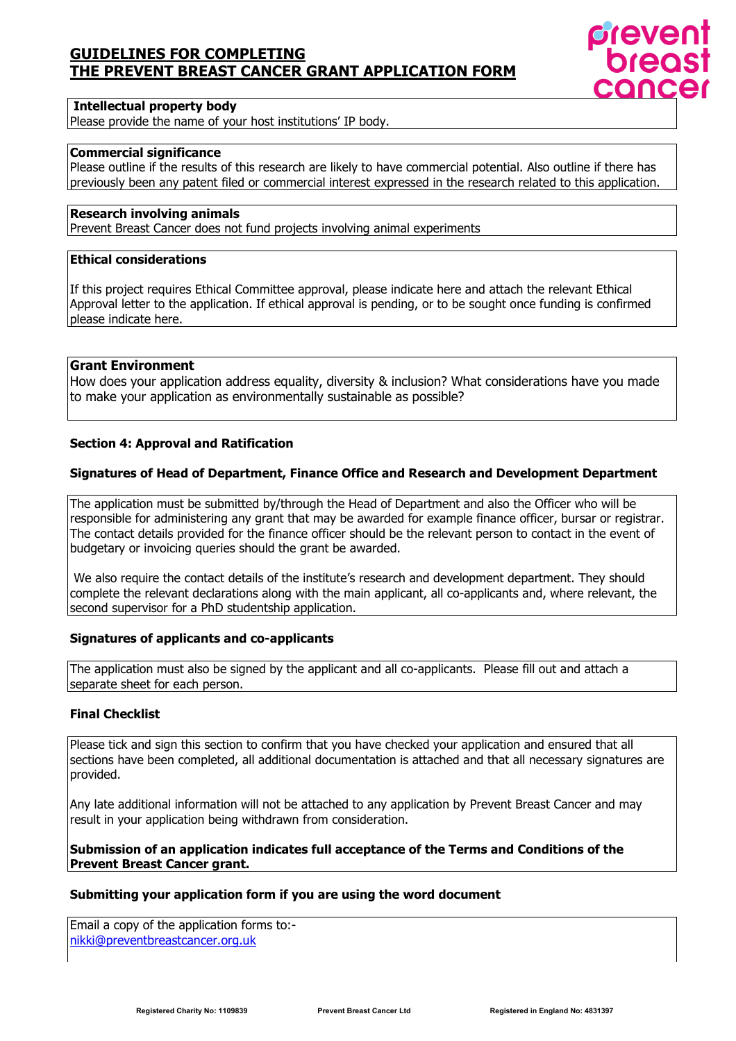

#### **Intellectual property body**

Please provide the name of your host institutions' IP body.

# **Commercial significance**

Please outline if the results of this research are likely to have commercial potential. Also outline if there has previously been any patent filed or commercial interest expressed in the research related to this application.

# **Research involving animals**

Prevent Breast Cancer does not fund projects involving animal experiments

# **Ethical considerations**

If this project requires Ethical Committee approval, please indicate here and attach the relevant Ethical Approval letter to the application. If ethical approval is pending, or to be sought once funding is confirmed please indicate here.

### **Grant Environment**

How does your application address equality, diversity & inclusion? What considerations have you made to make your application as environmentally sustainable as possible?

#### **Section 4: Approval and Ratification**

# **Signatures of Head of Department, Finance Office and Research and Development Department**

The application must be submitted by/through the Head of Department and also the Officer who will be responsible for administering any grant that may be awarded for example finance officer, bursar or registrar. The contact details provided for the finance officer should be the relevant person to contact in the event of budgetary or invoicing queries should the grant be awarded.

We also require the contact details of the institute's research and development department. They should complete the relevant declarations along with the main applicant, all co-applicants and, where relevant, the second supervisor for a PhD studentship application.

### **Signatures of applicants and co-applicants**

The application must also be signed by the applicant and all co-applicants. Please fill out and attach a separate sheet for each person.

# **Final Checklist**

Please tick and sign this section to confirm that you have checked your application and ensured that all sections have been completed, all additional documentation is attached and that all necessary signatures are provided.

Any late additional information will not be attached to any application by Prevent Breast Cancer and may result in your application being withdrawn from consideration.

# **Submission of an application indicates full acceptance of the Terms and Conditions of the Prevent Breast Cancer grant.**

#### **Submitting your application form if you are using the word document**

Email a copy of the application forms to: [nikki@preventbreastcancer.org.uk](mailto:nikki@preventbreastcancer.org.uk)